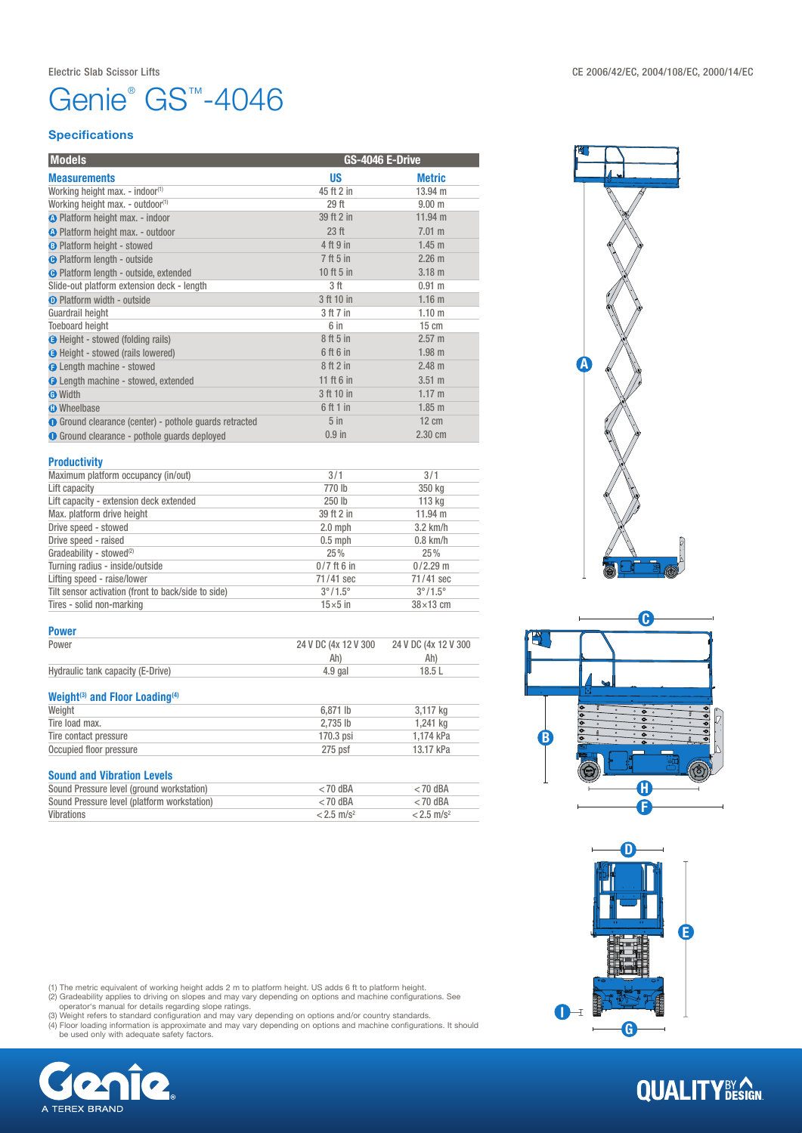# Genie<sup>®</sup> GS<sup>™</sup>-4046

### **Specifications**

| <b>Models</b>                                          | GS-4046 E-Drive  |                   |
|--------------------------------------------------------|------------------|-------------------|
| <b>Measurements</b>                                    | US               | <b>Metric</b>     |
| Working height max. - indoor <sup>(1)</sup>            | 45 ft 2 in       | 13.94 m           |
| Working height max. - outdoor <sup>(1)</sup>           | 29 ft            | 9.00 m            |
| <b>A</b> Platform height max. - indoor                 | 39 ft 2 in       | $11.94 \text{ m}$ |
| <b>A</b> Platform height max. - outdoor                | 23 <sub>ft</sub> | 7.01 m            |
| <b>B</b> Platform height - stowed                      | 4 ft 9 in        | $1.45$ m          |
| <b>O</b> Platform length - outside                     | 7 ft 5 in        | 2.26 m            |
| <b>O</b> Platform length - outside, extended           | 10 ft 5 in       | 3.18 <sub>m</sub> |
| Slide-out platform extension deck - length             | 3 ft             | 0.91 m            |
| <b>O</b> Platform width - outside                      | 3 ft 10 in       | 1.16 <sub>m</sub> |
| Guardrail height                                       | 3 ft 7 in        | 1.10 <sub>m</sub> |
| <b>Toeboard height</b>                                 | 6 in             | $15 \text{ cm}$   |
| <b>B</b> Height - stowed (folding rails)               | 8 ft 5 in        | $2.57 \text{ m}$  |
| <b>O</b> Height - stowed (rails lowered)               | 6 ft 6 in        | $1.98$ m          |
| <b>O</b> Length machine - stowed                       | 8ft2in           | $2.48$ m          |
| <b>O</b> Length machine - stowed, extended             | 11 ft 6 in       | $3.51 \text{ m}$  |
| <b>O</b> Width                                         | 3 ft 10 in       | 1.17 m            |
| <b>O</b> Wheelbase                                     | 6ft1in           | $1.85$ m          |
| ● Ground clearance (center) - pothole guards retracted | $5$ in           | $12 \text{ cm}$   |
| <b>O</b> Ground clearance - pothole quards deployed    | $0.9$ in         | 2.30 cm           |
|                                                        |                  |                   |

### **Productivity**

| .                                                   |                         |                         |
|-----------------------------------------------------|-------------------------|-------------------------|
| Maximum platform occupancy (in/out)                 | 3/1                     | 3/1                     |
| Lift capacity                                       | 770 lb                  | 350 kg                  |
| Lift capacity - extension deck extended             | 250 lb                  | 113 kg                  |
| Max. platform drive height                          | 39 ft 2 in              | $11.94 \text{ m}$       |
| Drive speed - stowed                                | $2.0$ mph               | $3.2$ km/h              |
| Drive speed - raised                                | $0.5$ mph               | $0.8$ km/h              |
| Gradeability - stowed <sup>(2)</sup>                | 25%                     | 25%                     |
| Turning radius - inside/outside                     | $0/7$ ft 6 in           | $0/2.29$ m              |
| Lifting speed - raise/lower                         | 71/41 sec               | 71/41 sec               |
| Tilt sensor activation (front to back/side to side) | $3^{\circ}/1.5^{\circ}$ | $3^{\circ}/1.5^{\circ}$ |
| Tires - solid non-marking                           | $15\times 5$ in         | $38\times13$ cm         |

#### Power

| Power                                                  | 24 V DC (4x 12 V 300     | 24 V DC (4x 12 V 300     |  |
|--------------------------------------------------------|--------------------------|--------------------------|--|
|                                                        | Ah)                      | Ah)                      |  |
| Hydraulic tank capacity (E-Drive)                      | $4.9$ gal                | 18.5L                    |  |
| Weight <sup>(3)</sup> and Floor Loading <sup>(4)</sup> |                          |                          |  |
| Weight                                                 | $6.871$ lb               | 3,117 kg                 |  |
| Tire load max.                                         | 2.735 lb                 | 1.241 ka                 |  |
| Tire contact pressure                                  | 170.3 psi                | 1,174 kPa                |  |
| Occupied floor pressure                                | $275$ psf                | 13.17 kPa                |  |
| <b>Sound and Vibration Levels</b>                      |                          |                          |  |
| Sound Pressure level (ground workstation)              | $<$ 70 dBA               | $<$ 70 dBA               |  |
| Sound Pressure level (platform workstation)            | $<$ 70 dBA               | $<$ 70 dBA               |  |
| <b>Vibrations</b>                                      | $< 2.5$ m/s <sup>2</sup> | $< 2.5$ m/s <sup>2</sup> |  |

(1) The metric equivalent of working height adds 2 m to platform height. US adds 6 ft to platform height.<br>(2) Gradeability applies to driving on slopes and may vary depending on options and machine configurations. See<br>oper









## **QUALITY**BY CON